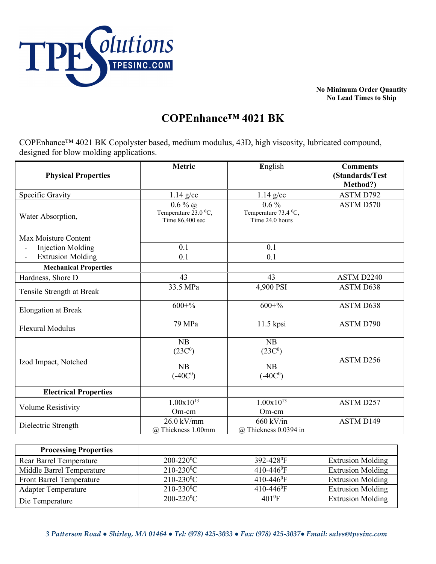

**No Minimum Order Quantity No Lead Times to Ship** 

## **COPEnhance™ 4021 BK**

COPEnhance™ 4021 BK Copolyster based, medium modulus, 43D, high viscosity, lubricated compound, designed for blow molding applications.

| <b>Physical Properties</b>   | Metric                                               | English                                            | <b>Comments</b><br>(Standards/Test<br>Method?) |
|------------------------------|------------------------------------------------------|----------------------------------------------------|------------------------------------------------|
| Specific Gravity             | $1.14$ g/cc                                          | $1.14$ g/cc                                        | ASTM D792                                      |
| Water Absorption,            | $0.6\%$ @<br>Temperature 23.0 °C,<br>Time 86,400 sec | $0.6\%$<br>Temperature 73.4 °C,<br>Time 24.0 hours | ASTM D570                                      |
| Max Moisture Content         |                                                      |                                                    |                                                |
| <b>Injection Molding</b>     | 0.1                                                  | 0.1                                                |                                                |
| <b>Extrusion Molding</b>     | 0.1                                                  | 0.1                                                |                                                |
| <b>Mechanical Properties</b> |                                                      |                                                    |                                                |
| Hardness, Shore D            | 43                                                   | 43                                                 | ASTM D2240                                     |
| Tensile Strength at Break    | 33.5 MPa                                             | 4,900 PSI                                          | ASTM D638                                      |
| <b>Elongation at Break</b>   | $600 + %$                                            | $600 + %$                                          | ASTM D638                                      |
| <b>Flexural Modulus</b>      | 79 MPa                                               | 11.5 kpsi                                          | ASTM D790                                      |
| Izod Impact, Notched         | NB<br>(23C <sup>0</sup> )<br>NB                      | NB<br>(23C <sup>0</sup> )<br>NB                    | ASTM D256                                      |
|                              | $(-40C^0)$                                           | $(-40C0)$                                          |                                                |
| <b>Electrical Properties</b> |                                                      |                                                    |                                                |
| Volume Resistivity           | $1.00x10^{13}$<br>Om-cm                              | $1.00x10^{13}$<br>Om-cm                            | ASTM D257                                      |
| Dielectric Strength          | $26.0$ kV/mm<br>@ Thickness 1.00mm                   | $660$ kV/in<br>@ Thickness 0.0394 in               | ASTM D149                                      |

| <b>Processing Properties</b>    |                            |                          |                          |
|---------------------------------|----------------------------|--------------------------|--------------------------|
| <b>Rear Barrel Temperature</b>  | $200 - 220$ <sup>o</sup> C | 392-428 <sup>0</sup> F   | <b>Extrusion Molding</b> |
| Middle Barrel Temperature       | $210 - 230$ <sup>o</sup> C | $410-446$ <sup>o</sup> F | <b>Extrusion Molding</b> |
| <b>Front Barrel Temperature</b> | $210 - 230$ <sup>o</sup> C | 410-446 <sup>0</sup> F   | <b>Extrusion Molding</b> |
| <b>Adapter Temperature</b>      | $210 - 230$ <sup>o</sup> C | 410-446 <sup>0</sup> F   | <b>Extrusion Molding</b> |
| Die Temperature                 | $200 - 220$ <sup>o</sup> C | $401^{\circ}F$           | <b>Extrusion Molding</b> |